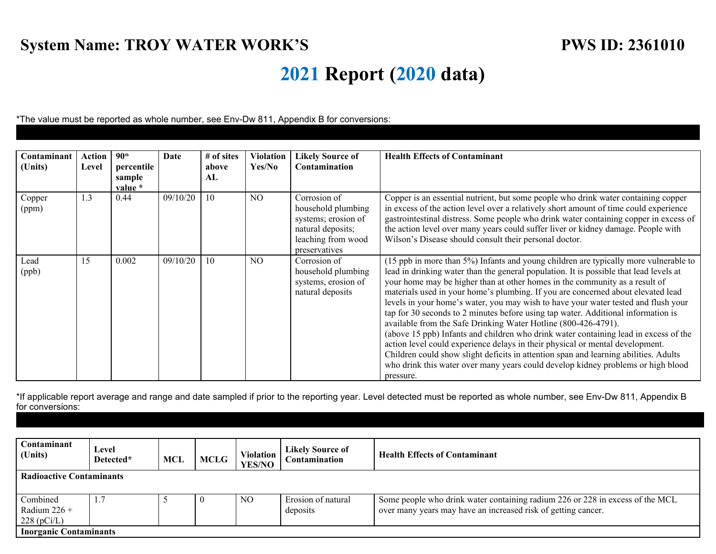## **System Name: TROY WATER WORK'S** PWS ID: 2361010

## **2021 Report (2020 data)**

\*The value must be reported as whole number, see Env-Dw 811, Appendix B for conversions:

| Contaminant<br>(Units) | <b>Action</b><br>Level | 90 <sup>th</sup><br>percentile<br>sample<br>value * | Date     | # of sites<br>above<br>AL | Violation<br>Yes/No | <b>Likely Source of</b><br><b>Contamination</b>                                                                       | <b>Health Effects of Contaminant</b>                                                                                                                                                                                                                                                                                                                                                                                                                                                                                                                                                                                                                                                                                                                                                                                                                                                                                                                             |
|------------------------|------------------------|-----------------------------------------------------|----------|---------------------------|---------------------|-----------------------------------------------------------------------------------------------------------------------|------------------------------------------------------------------------------------------------------------------------------------------------------------------------------------------------------------------------------------------------------------------------------------------------------------------------------------------------------------------------------------------------------------------------------------------------------------------------------------------------------------------------------------------------------------------------------------------------------------------------------------------------------------------------------------------------------------------------------------------------------------------------------------------------------------------------------------------------------------------------------------------------------------------------------------------------------------------|
| Copper<br>(ppm)        | 1.3                    | 0.44                                                | 09/10/20 | 10                        | N <sub>O</sub>      | Corrosion of<br>household plumbing<br>systems; erosion of<br>natural deposits;<br>leaching from wood<br>preservatives | Copper is an essential nutrient, but some people who drink water containing copper<br>in excess of the action level over a relatively short amount of time could experience<br>gastrointestinal distress. Some people who drink water containing copper in excess of<br>the action level over many years could suffer liver or kidney damage. People with<br>Wilson's Disease should consult their personal doctor.                                                                                                                                                                                                                                                                                                                                                                                                                                                                                                                                              |
| Lead<br>(ppb)          | 15                     | 0.002                                               | 09/10/20 | 10                        | N <sub>O</sub>      | Corrosion of<br>household plumbing<br>systems, erosion of<br>natural deposits                                         | (15 ppb in more than 5%) Infants and young children are typically more vulnerable to<br>lead in drinking water than the general population. It is possible that lead levels at<br>your home may be higher than at other homes in the community as a result of<br>materials used in your home's plumbing. If you are concerned about elevated lead<br>levels in your home's water, you may wish to have your water tested and flush your<br>tap for 30 seconds to 2 minutes before using tap water. Additional information is<br>available from the Safe Drinking Water Hotline (800-426-4791).<br>(above 15 ppb) Infants and children who drink water containing lead in excess of the<br>action level could experience delays in their physical or mental development.<br>Children could show slight deficits in attention span and learning abilities. Adults<br>who drink this water over many years could develop kidney problems or high blood<br>pressure. |

\*If applicable report average and range and date sampled if prior to the reporting year. Level detected must be reported as whole number, see Env-Dw 811, Appendix B for conversions:

| Contaminant<br>(Units)          | Level<br>Detected* | MCL | <b>MCLG</b> | <b>Violation</b><br><b>YES/NO</b> | <b>Likely Source of</b><br>Contamination | <b>Health Effects of Contaminant</b>                                          |  |  |
|---------------------------------|--------------------|-----|-------------|-----------------------------------|------------------------------------------|-------------------------------------------------------------------------------|--|--|
| <b>Radioactive Contaminants</b> |                    |     |             |                                   |                                          |                                                                               |  |  |
|                                 |                    |     |             |                                   |                                          |                                                                               |  |  |
| Combined                        |                    |     |             | N <sub>O</sub>                    | Erosion of natural                       | Some people who drink water containing radium 226 or 228 in excess of the MCL |  |  |
| Radium $226 +$                  |                    |     |             |                                   | deposits                                 | over many years may have an increased risk of getting cancer.                 |  |  |
| $228$ (pCi/L)                   |                    |     |             |                                   |                                          |                                                                               |  |  |
| <b>Inorganic Contaminants</b>   |                    |     |             |                                   |                                          |                                                                               |  |  |